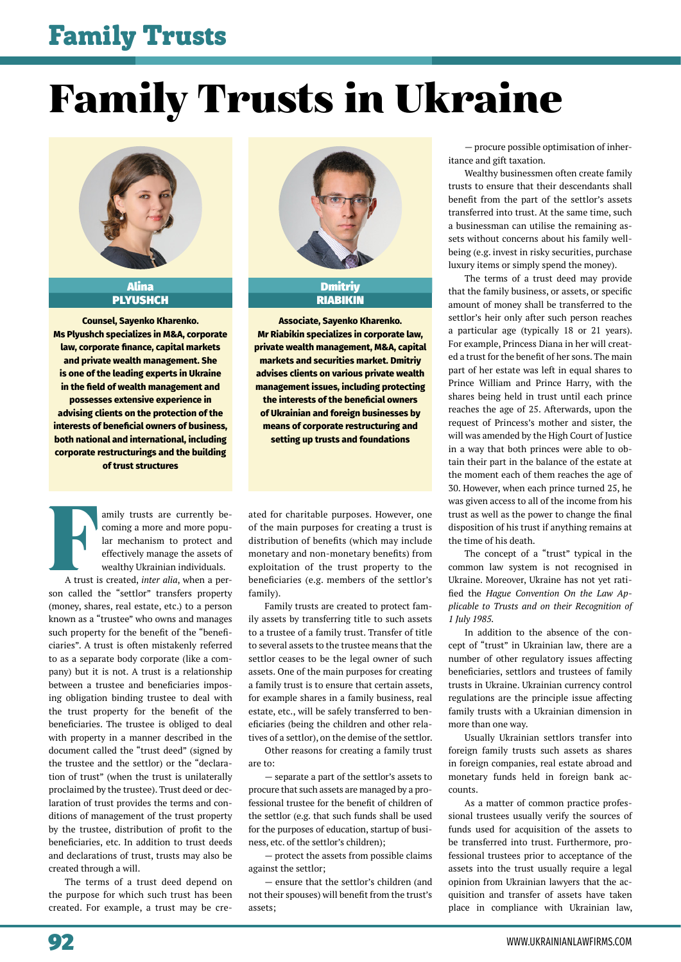### Family Trusts

# Family Trusts in Ukraine



Alina PLYUSHCH

**Counsel, Sayenko Kharenko. Ms Plyushch specializes in M&A, corporate law, corporate finance, capital markets and private wealth management. She is one of the leading experts in Ukraine in the field of wealth management and possesses extensive experience in advising clients on the protection of the interests of beneficial owners of business, both national and international, including corporate restructurings and the building of trust structures**



Dmitriy RIABIKIN

**Associate, Sayenko Kharenko. Mr Riabikin specializes in corporate law, private wealth management, M&A, capital markets and securities market. Dmitriy advises clients on various private wealth management issues, including protecting the interests of the beneficial owners of Ukrainian and foreign businesses by means of corporate restructuring and setting up trusts and foundations**

Family trusts are currently be-<br>
coming a more and more popular<br>
lar mechanism to protect and<br>
effectively manage the assets of<br>
wealthy Ukrainian individuals.<br>
A trust is created, *inter alia*, when a percoming a more and more popular mechanism to protect and effectively manage the assets of wealthy Ukrainian individuals.

son called the "settlor" transfers property (money, shares, real estate, etc.) to a person known as a "trustee" who owns and manages such property for the benefit of the "beneficiaries". A trust is often mistakenly referred to as a separate body corporate (like a company) but it is not. A trust is a relationship between a trustee and beneficiaries imposing obligation binding trustee to deal with the trust property for the benefit of the beneficiaries. The trustee is obliged to deal with property in a manner described in the document called the "trust deed" (signed by the trustee and the settlor) or the "declaration of trust" (when the trust is unilaterally proclaimed by the trustee). Trust deed or declaration of trust provides the terms and conditions of management of the trust property by the trustee, distribution of profit to the beneficiaries, etc. In addition to trust deeds and declarations of trust, trusts may also be created through a will.

The terms of a trust deed depend on the purpose for which such trust has been created. For example, a trust may be created for charitable purposes. However, one of the main purposes for creating a trust is distribution of benefits (which may include monetary and non-monetary benefits) from exploitation of the trust property to the beneficiaries (e.g. members of the settlor's family).

Family trusts are created to protect family assets by transferring title to such assets to a trustee of a family trust. Transfer of title to several assets to the trustee means that the settlor ceases to be the legal owner of such assets. One of the main purposes for creating a family trust is to ensure that certain assets, for example shares in a family business, real estate, etc., will be safely transferred to beneficiaries (being the children and other relatives of a settlor), on the demise of the settlor.

Other reasons for creating a family trust are to:

— separate a part of the settlor's assets to procure that such assets are managed by a professional trustee for the benefit of children of the settlor (e.g. that such funds shall be used for the purposes of education, startup of business, etc. of the settlor's children);

— protect the assets from possible claims against the settlor;

— ensure that the settlor's children (and not their spouses) will benefit from the trust's assets;

— procure possible optimisation of inheritance and gift taxation.

Wealthy businessmen often create family trusts to ensure that their descendants shall benefit from the part of the settlor's assets transferred into trust. At the same time, such a businessman can utilise the remaining assets without concerns about his family wellbeing (e.g. invest in risky securities, purchase luxury items or simply spend the money).

The terms of a trust deed may provide that the family business, or assets, or specific amount of money shall be transferred to the settlor's heir only after such person reaches a particular age (typically 18 or 21 years). For example, Princess Diana in her will created a trust for the benefit of her sons. The main part of her estate was left in equal shares to Prince William and Prince Harry, with the shares being held in trust until each prince reaches the age of 25. Afterwards, upon the request of Princess's mother and sister, the will was amended by the High Court of Justice in a way that both princes were able to obtain their part in the balance of the estate at the moment each of them reaches the age of 30. However, when each prince turned 25, he was given access to all of the income from his trust as well as the power to change the final disposition of his trust if anything remains at the time of his death.

The concept of a "trust" typical in the common law system is not recognised in Ukraine. Moreover, Ukraine has not yet ratified the *Hague Convention On the Law Applicable to Trusts and on their Recognition of 1 July 1985.* 

In addition to the absence of the concept of "trust" in Ukrainian law, there are a number of other regulatory issues affecting beneficiaries, settlors and trustees of family trusts in Ukraine. Ukrainian currency control regulations are the principle issue affecting family trusts with a Ukrainian dimension in more than one way.

Usually Ukrainian settlors transfer into foreign family trusts such assets as shares in foreign companies, real estate abroad and monetary funds held in foreign bank accounts.

As a matter of common practice professional trustees usually verify the sources of funds used for acquisition of the assets to be transferred into trust. Furthermore, professional trustees prior to acceptance of the assets into the trust usually require a legal opinion from Ukrainian lawyers that the acquisition and transfer of assets have taken place in compliance with Ukrainian law,